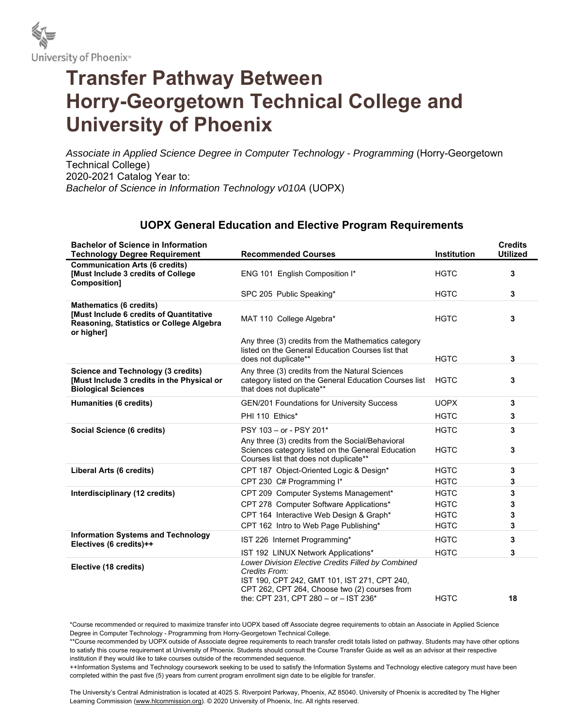

## **Transfer Pathway Between Horry-Georgetown Technical College and University of Phoenix**

Associate in Applied Science Degree in Computer Technology - Programming (Horry-Georgetown Technical College) 2020-2021 Catalog Year to: *Bachelor of Science in Information Technology v010A* (UOPX)

## **UOPX General Education and Elective Program Requirements**

| <b>Bachelor of Science in Information</b><br><b>Technology Degree Requirement</b>                                                   | <b>Recommended Courses</b>                                                                                                                                                                                    | <b>Institution</b> | <b>Credits</b><br><b>Utilized</b> |
|-------------------------------------------------------------------------------------------------------------------------------------|---------------------------------------------------------------------------------------------------------------------------------------------------------------------------------------------------------------|--------------------|-----------------------------------|
| <b>Communication Arts (6 credits)</b>                                                                                               |                                                                                                                                                                                                               |                    |                                   |
| <b>Must Include 3 credits of College</b><br>Composition]                                                                            | ENG 101 English Composition I*                                                                                                                                                                                | <b>HGTC</b>        | 3                                 |
|                                                                                                                                     | SPC 205 Public Speaking*                                                                                                                                                                                      | <b>HGTC</b>        | 3                                 |
| <b>Mathematics (6 credits)</b><br>[Must Include 6 credits of Quantitative<br>Reasoning, Statistics or College Algebra<br>or higher] | MAT 110 College Algebra*                                                                                                                                                                                      | <b>HGTC</b>        | 3                                 |
|                                                                                                                                     | Any three (3) credits from the Mathematics category<br>listed on the General Education Courses list that<br>does not duplicate**                                                                              | <b>HGTC</b>        | 3                                 |
| <b>Science and Technology (3 credits)</b><br>[Must Include 3 credits in the Physical or<br><b>Biological Sciences</b>               | Any three (3) credits from the Natural Sciences<br>category listed on the General Education Courses list<br>that does not duplicate**                                                                         | <b>HGTC</b>        | 3                                 |
| Humanities (6 credits)                                                                                                              | <b>GEN/201 Foundations for University Success</b>                                                                                                                                                             | <b>UOPX</b>        | 3                                 |
|                                                                                                                                     | PHI 110 Ethics*                                                                                                                                                                                               | <b>HGTC</b>        | 3                                 |
| Social Science (6 credits)                                                                                                          | PSY 103 - or - PSY 201*                                                                                                                                                                                       | <b>HGTC</b>        | 3                                 |
|                                                                                                                                     | Any three (3) credits from the Social/Behavioral<br>Sciences category listed on the General Education<br>Courses list that does not duplicate**                                                               | <b>HGTC</b>        | 3                                 |
| Liberal Arts (6 credits)                                                                                                            | CPT 187 Object-Oriented Logic & Design*                                                                                                                                                                       | <b>HGTC</b>        | 3                                 |
|                                                                                                                                     | CPT 230 C# Programming I*                                                                                                                                                                                     | <b>HGTC</b>        | 3                                 |
| Interdisciplinary (12 credits)                                                                                                      | CPT 209 Computer Systems Management*                                                                                                                                                                          | <b>HGTC</b>        | 3                                 |
|                                                                                                                                     | CPT 278 Computer Software Applications*                                                                                                                                                                       | <b>HGTC</b>        | 3                                 |
|                                                                                                                                     | CPT 164 Interactive Web Design & Graph*                                                                                                                                                                       | <b>HGTC</b>        | 3                                 |
|                                                                                                                                     | CPT 162 Intro to Web Page Publishing*                                                                                                                                                                         | <b>HGTC</b>        | 3                                 |
| <b>Information Systems and Technology</b><br>Electives (6 credits)++                                                                | IST 226 Internet Programming*                                                                                                                                                                                 | <b>HGTC</b>        | 3                                 |
|                                                                                                                                     | IST 192 LINUX Network Applications*                                                                                                                                                                           | <b>HGTC</b>        | 3                                 |
| Elective (18 credits)                                                                                                               | Lower Division Elective Credits Filled by Combined<br>Credits From:<br>IST 190, CPT 242, GMT 101, IST 271, CPT 240,<br>CPT 262, CPT 264, Choose two (2) courses from<br>the: CPT 231, CPT 280 - or - IST 236* | <b>HGTC</b>        | 18                                |

\*Course recommended or required to maximize transfer into UOPX based off Associate degree requirements to obtain an Associate in Applied Science Degree in Computer Technology - Programming from Horry-Georgetown Technical College.

\*\*Course recommended by UOPX outside of Associate degree requirements to reach transfer credit totals listed on pathway. Students may have other options to satisfy this course requirement at University of Phoenix. Students should consult the Course Transfer Guide as well as an advisor at their respective institution if they would like to take courses outside of the recommended sequence.

++Information Systems and Technology coursework seeking to be used to satisfy the Information Systems and Technology elective category must have been completed within the past five (5) years from current program enrollment sign date to be eligible for transfer.

The University's Central Administration is located at 4025 S. Riverpoint Parkway, Phoenix, AZ 85040. University of Phoenix is accredited by The Higher Learning Commission (www.hlcommission.org). @ 2020 University of Phoenix, Inc. All rights reserved.